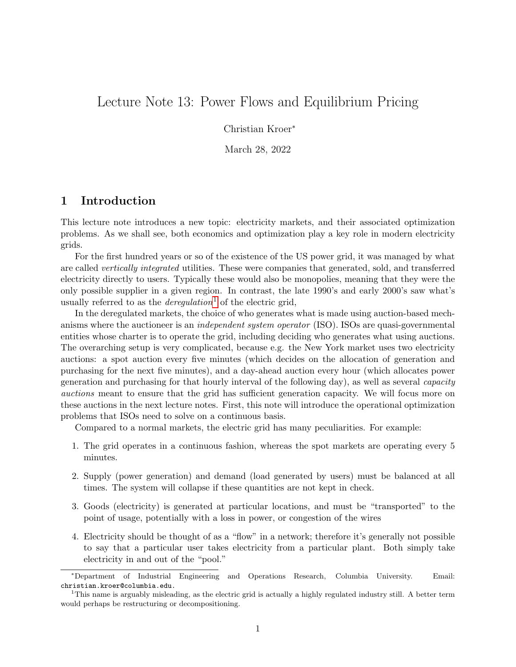# Lecture Note 13: Power Flows and Equilibrium Pricing

Christian Kroer<sup>∗</sup>

March 28, 2022

# 1 Introduction

This lecture note introduces a new topic: electricity markets, and their associated optimization problems. As we shall see, both economics and optimization play a key role in modern electricity grids.

For the first hundred years or so of the existence of the US power grid, it was managed by what are called vertically integrated utilities. These were companies that generated, sold, and transferred electricity directly to users. Typically these would also be monopolies, meaning that they were the only possible supplier in a given region. In contrast, the late 1990's and early 2000's saw what's usually referred to as the *deregulation*<sup>[1](#page-0-0)</sup> of the electric grid,

In the deregulated markets, the choice of who generates what is made using auction-based mechanisms where the auctioneer is an independent system operator (ISO). ISOs are quasi-governmental entities whose charter is to operate the grid, including deciding who generates what using auctions. The overarching setup is very complicated, because e.g. the New York market uses two electricity auctions: a spot auction every five minutes (which decides on the allocation of generation and purchasing for the next five minutes), and a day-ahead auction every hour (which allocates power generation and purchasing for that hourly interval of the following day), as well as several capacity auctions meant to ensure that the grid has sufficient generation capacity. We will focus more on these auctions in the next lecture notes. First, this note will introduce the operational optimization problems that ISOs need to solve on a continuous basis.

Compared to a normal markets, the electric grid has many peculiarities. For example:

- 1. The grid operates in a continuous fashion, whereas the spot markets are operating every 5 minutes.
- 2. Supply (power generation) and demand (load generated by users) must be balanced at all times. The system will collapse if these quantities are not kept in check.
- 3. Goods (electricity) is generated at particular locations, and must be "transported" to the point of usage, potentially with a loss in power, or congestion of the wires
- 4. Electricity should be thought of as a "flow" in a network; therefore it's generally not possible to say that a particular user takes electricity from a particular plant. Both simply take electricity in and out of the "pool."

<sup>∗</sup>Department of Industrial Engineering and Operations Research, Columbia University. Email: christian.kroer@columbia.edu.

<span id="page-0-0"></span><sup>&</sup>lt;sup>1</sup>This name is arguably misleading, as the electric grid is actually a highly regulated industry still. A better term would perhaps be restructuring or decompositioning.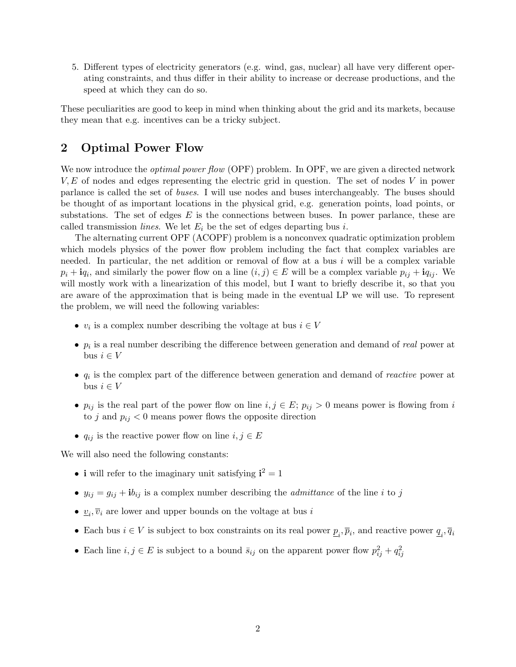5. Different types of electricity generators (e.g. wind, gas, nuclear) all have very different operating constraints, and thus differ in their ability to increase or decrease productions, and the speed at which they can do so.

These peculiarities are good to keep in mind when thinking about the grid and its markets, because they mean that e.g. incentives can be a tricky subject.

# 2 Optimal Power Flow

We now introduce the *optimal power flow* (OPF) problem. In OPF, we are given a directed network  $V, E$  of nodes and edges representing the electric grid in question. The set of nodes V in power parlance is called the set of buses. I will use nodes and buses interchangeably. The buses should be thought of as important locations in the physical grid, e.g. generation points, load points, or substations. The set of edges  $E$  is the connections between buses. In power parlance, these are called transmission *lines*. We let  $E_i$  be the set of edges departing bus i.

The alternating current OPF (ACOPF) problem is a nonconvex quadratic optimization problem which models physics of the power flow problem including the fact that complex variables are needed. In particular, the net addition or removal of flow at a bus  $i$  will be a complex variable  $p_i + \mathbf{i}q_i$ , and similarly the power flow on a line  $(i, j) \in E$  will be a complex variable  $p_{ij} + \mathbf{i}q_{ij}$ . We will mostly work with a linearization of this model, but I want to briefly describe it, so that you are aware of the approximation that is being made in the eventual LP we will use. To represent the problem, we will need the following variables:

- $v_i$  is a complex number describing the voltage at bus  $i \in V$
- $p_i$  is a real number describing the difference between generation and demand of real power at bus  $i \in V$
- $q_i$  is the complex part of the difference between generation and demand of *reactive* power at bus  $i \in V$
- $p_{ij}$  is the real part of the power flow on line  $i, j \in E$ ;  $p_{ij} > 0$  means power is flowing from i to j and  $p_{ij} < 0$  means power flows the opposite direction
- $q_{ij}$  is the reactive power flow on line  $i, j \in E$

We will also need the following constants:

- i will refer to the imaginary unit satisfying  $i^2 = 1$
- $y_{ij} = g_{ij} + ib_{ij}$  is a complex number describing the *admittance* of the line *i* to *j*
- $\underline{v}_i, \overline{v}_i$  are lower and upper bounds on the voltage at bus i
- Each bus  $i \in V$  is subject to box constraints on its real power  $\underline{p}_i$ ,  $\overline{p}_i$ , and reactive power  $\underline{q}_i$ ,  $\overline{q}_i$
- Each line  $i, j \in E$  is subject to a bound  $\bar{s}_{ij}$  on the apparent power flow  $p_{ij}^2 + q_{ij}^2$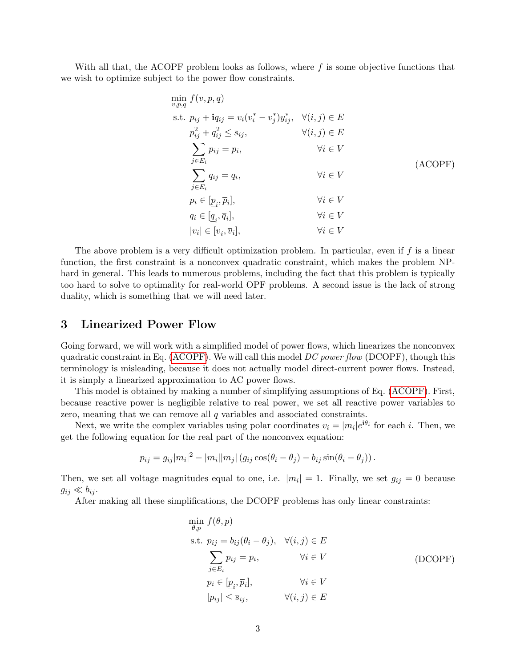With all that, the ACOPF problem looks as follows, where  $f$  is some objective functions that we wish to optimize subject to the power flow constraints.

<span id="page-2-0"></span>
$$
\min_{v,p,q} f(v, p, q)
$$
\n
$$
\text{s.t. } p_{ij} + \mathbf{i}q_{ij} = v_i(v_i^* - v_j^*)y_{ij}^*, \quad \forall (i, j) \in E
$$
\n
$$
p_{ij}^2 + q_{ij}^2 \le \overline{s}_{ij}, \qquad \forall (i, j) \in E
$$
\n
$$
\sum_{j \in E_i} p_{ij} = p_i, \qquad \forall i \in V
$$
\n
$$
\sum_{j \in E_i} q_{ij} = q_i, \qquad \forall i \in V
$$
\n
$$
p_i \in [\underline{p}_i, \overline{p}_i], \qquad \forall i \in V
$$
\n
$$
q_i \in [\underline{q}_i, \overline{q}_i], \qquad \forall i \in V
$$
\n
$$
|v_i| \in [\underline{v}_i, \overline{v}_i], \qquad \forall i \in V
$$
\n
$$
v_i \in V
$$

The above problem is a very difficult optimization problem. In particular, even if  $f$  is a linear function, the first constraint is a nonconvex quadratic constraint, which makes the problem NPhard in general. This leads to numerous problems, including the fact that this problem is typically too hard to solve to optimality for real-world OPF problems. A second issue is the lack of strong duality, which is something that we will need later.

### 3 Linearized Power Flow

Going forward, we will work with a simplified model of power flows, which linearizes the nonconvex quadratic constraint in Eq. [\(ACOPF\)](#page-2-0). We will call this model  $DC$  power flow (DCOPF), though this terminology is misleading, because it does not actually model direct-current power flows. Instead, it is simply a linearized approximation to AC power flows.

This model is obtained by making a number of simplifying assumptions of Eq. [\(ACOPF\)](#page-2-0). First, because reactive power is negligible relative to real power, we set all reactive power variables to zero, meaning that we can remove all q variables and associated constraints.

Next, we write the complex variables using polar coordinates  $v_i = |m_i|e^{i\theta_i}$  for each i. Then, we get the following equation for the real part of the nonconvex equation:

$$
p_{ij} = g_{ij} |m_i|^2 - |m_i| |m_j| (g_{ij} \cos(\theta_i - \theta_j) - b_{ij} \sin(\theta_i - \theta_j)).
$$

Then, we set all voltage magnitudes equal to one, i.e.  $|m_i|=1$ . Finally, we set  $g_{ij}=0$  because  $g_{ij} \ll b_{ij}$ .

After making all these simplifications, the DCOPF problems has only linear constraints:

<span id="page-2-1"></span>
$$
\min_{\theta, p} f(\theta, p)
$$
\n
$$
\text{s.t. } p_{ij} = b_{ij}(\theta_i - \theta_j), \quad \forall (i, j) \in E
$$
\n
$$
\sum_{j \in E_i} p_{ij} = p_i, \qquad \forall i \in V \qquad \qquad \text{(DCOPF)}
$$
\n
$$
p_i \in [\underline{p}_i, \overline{p}_i], \qquad \forall i \in V
$$
\n
$$
|p_{ij}| \le \overline{s}_{ij}, \qquad \forall (i, j) \in E
$$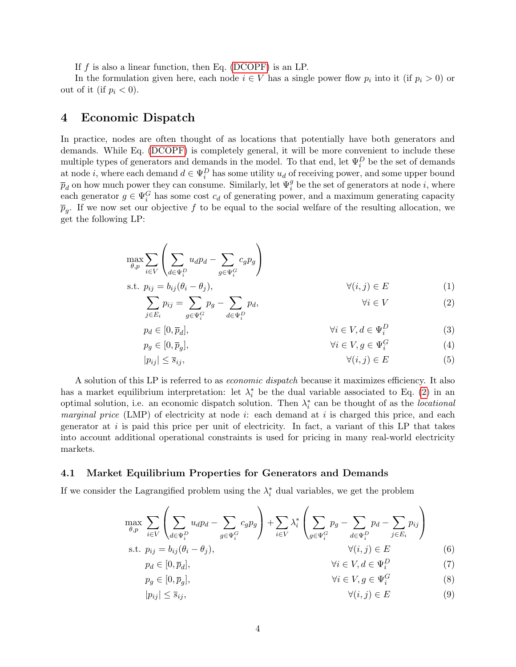If  $f$  is also a linear function, then Eq. [\(DCOPF\)](#page-2-1) is an LP.

In the formulation given here, each node  $i \in V$  has a single power flow  $p_i$  into it (if  $p_i > 0$ ) or out of it (if  $p_i < 0$ ).

### 4 Economic Dispatch

In practice, nodes are often thought of as locations that potentially have both generators and demands. While Eq. [\(DCOPF\)](#page-2-1) is completely general, it will be more convenient to include these multiple types of generators and demands in the model. To that end, let  $\Psi_i^D$  be the set of demands at node *i*, where each demand  $d \in \Psi_i^D$  has some utility  $u_d$  of receiving power, and some upper bound  $\overline{p}_d$  on how much power they can consume. Similarly, let  $\Psi_i^g$  be the set of generators at node *i*, where each generator  $g \in \Psi_i^G$  has some cost  $c_d$  of generating power, and a maximum generating capacity  $\overline{p}_g$ . If we now set our objective f to be equal to the social welfare of the resulting allocation, we get the following LP:

$$
\max_{\theta, p} \sum_{i \in V} \left( \sum_{d \in \Psi_i^D} u_d p_d - \sum_{g \in \Psi_i^G} c_g p_g \right)
$$
  
s.t.  $p_{ij} = b_{ij} (\theta_i - \theta_j),$   $\forall (i, j) \in E$  (1)

$$
\sum_{j \in E_i} p_{ij} = \sum_{g \in \Psi_i^G} p_g - \sum_{d \in \Psi_i^D} p_d, \qquad \forall i \in V \tag{2}
$$

<span id="page-3-0"></span>
$$
p_d \in [0, \overline{p}_d], \qquad \qquad \forall i \in V, d \in \Psi_i^D \tag{3}
$$

$$
p_g \in [0, \overline{p}_g], \qquad \qquad \forall i \in V, g \in \Psi_i^G \tag{4}
$$

$$
|p_{ij}| \le \overline{s}_{ij}, \qquad \qquad \forall (i,j) \in E \tag{5}
$$

A solution of this LP is referred to as economic dispatch because it maximizes efficiency. It also has a market equilibrium interpretation: let  $\lambda_i^*$  be the dual variable associated to Eq. [\(2\)](#page-3-0) in an optimal solution, i.e. an economic dispatch solution. Then  $\lambda_i^*$  can be thought of as the *locational marginal price* (LMP) of electricity at node *i*: each demand at *i* is charged this price, and each generator at  $i$  is paid this price per unit of electricity. In fact, a variant of this LP that takes into account additional operational constraints is used for pricing in many real-world electricity markets.

#### 4.1 Market Equilibrium Properties for Generators and Demands

If we consider the Lagrangified problem using the  $\lambda_i^*$  dual variables, we get the problem

$$
\max_{\theta,p} \sum_{i \in V} \left( \sum_{d \in \Psi_i^D} u_d p_d - \sum_{g \in \Psi_i^G} c_g p_g \right) + \sum_{i \in V} \lambda_i^* \left( \sum_{g \in \Psi_i^G} p_g - \sum_{d \in \Psi_i^D} p_d - \sum_{j \in E_i} p_{ij} \right)
$$
  
s.t.  $p_{ij} = b_{ij} (\theta_i - \theta_j),$   $\forall (i,j) \in E$  (6)

<span id="page-3-1"></span>
$$
p_d \in [0, \overline{p}_d], \qquad \qquad \forall i \in V, d \in \Psi_i^D \tag{7}
$$

$$
p_g \in [0, \overline{p}_g], \qquad \qquad \forall i \in V, g \in \Psi_i^G \tag{8}
$$

$$
|p_{ij}| \le \overline{s}_{ij}, \qquad \qquad \forall (i,j) \in E \tag{9}
$$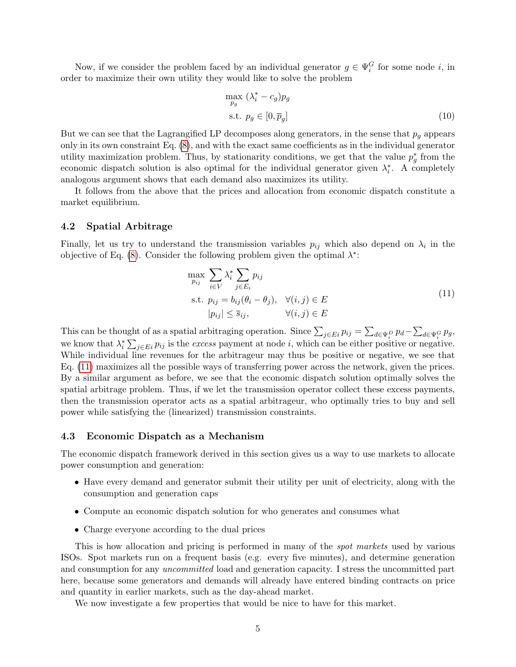Now, if we consider the problem faced by an individual generator  $g \in \Psi_i^G$  for some node i, in order to maximize their own utility they would like to solve the problem

$$
\max_{p_g} (\lambda_i^* - c_g) p_g
$$
  
s.t.  $p_g \in [0, \overline{p}_g]$  (10)

But we can see that the Lagrangified LP decomposes along generators, in the sense that  $p_q$  appears only in its own constraint Eq. [\(8\)](#page-3-1), and with the exact same coefficients as in the individual generator utility maximization problem. Thus, by stationarity conditions, we get that the value  $p_g^*$  from the economic dispatch solution is also optimal for the individual generator given  $\lambda_i^*$ . A completely analogous argument shows that each demand also maximizes its utility.

It follows from the above that the prices and allocation from economic dispatch constitute a market equilibrium.

#### 4.2 Spatial Arbitrage

Finally, let us try to understand the transmission variables  $p_{ij}$  which also depend on  $\lambda_i$  in the objective of Eq. [\(8\)](#page-3-1). Consider the following problem given the optimal  $\lambda^*$ :

<span id="page-4-0"></span>
$$
\max_{p_{ij}} \sum_{i \in V} \lambda_i^* \sum_{j \in E_i} p_{ij}
$$
\n
$$
\text{s.t. } p_{ij} = b_{ij}(\theta_i - \theta_j), \quad \forall (i, j) \in E
$$
\n
$$
|p_{ij}| \le \overline{s}_{ij}, \qquad \forall (i, j) \in E
$$
\n
$$
(11)
$$

This can be thought of as a spatial arbitraging operation. Since  $\sum_{j\in E_i} p_{ij} = \sum_{d\in \Psi_i^D} p_d - \sum_{d\in \Psi_i^G} p_g$ , we know that  $\lambda_i^* \sum_{j \in E_i} p_{ij}$  is the excess payment at node i, which can be either positive or negative. While individual line revenues for the arbitrageur may thus be positive or negative, we see that Eq. [\(11\)](#page-4-0) maximizes all the possible ways of transferring power across the network, given the prices. By a similar argument as before, we see that the economic dispatch solution optimally solves the spatial arbitrage problem. Thus, if we let the transmission operator collect these excess payments, then the transmission operator acts as a spatial arbitrageur, who optimally tries to buy and sell power while satisfying the (linearized) transmission constraints.

#### 4.3 Economic Dispatch as a Mechanism

The economic dispatch framework derived in this section gives us a way to use markets to allocate power consumption and generation:

- Have every demand and generator submit their utility per unit of electricity, along with the consumption and generation caps
- Compute an economic dispatch solution for who generates and consumes what
- Charge everyone according to the dual prices

This is how allocation and pricing is performed in many of the spot markets used by various ISOs. Spot markets run on a frequent basis (e.g. every five minutes), and determine generation and consumption for any uncommitted load and generation capacity. I stress the uncommitted part here, because some generators and demands will already have entered binding contracts on price and quantity in earlier markets, such as the day-ahead market.

We now investigate a few properties that would be nice to have for this market.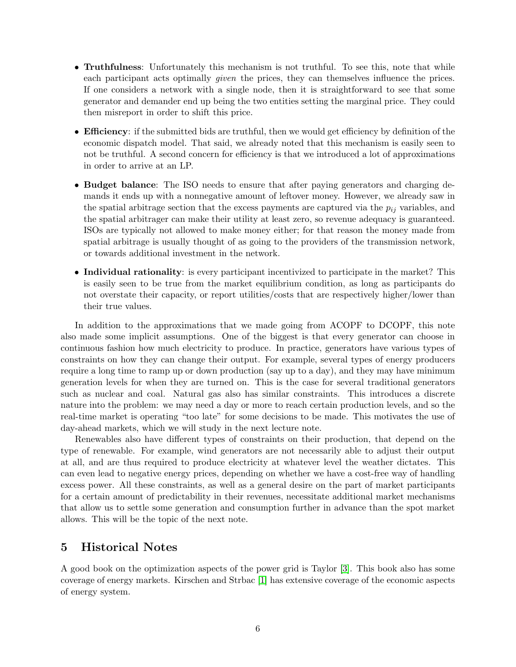- Truthfulness: Unfortunately this mechanism is not truthful. To see this, note that while each participant acts optimally *given* the prices, they can themselves influence the prices. If one considers a network with a single node, then it is straightforward to see that some generator and demander end up being the two entities setting the marginal price. They could then misreport in order to shift this price.
- **Efficiency**: if the submitted bids are truthful, then we would get efficiency by definition of the economic dispatch model. That said, we already noted that this mechanism is easily seen to not be truthful. A second concern for efficiency is that we introduced a lot of approximations in order to arrive at an LP.
- Budget balance: The ISO needs to ensure that after paying generators and charging demands it ends up with a nonnegative amount of leftover money. However, we already saw in the spatial arbitrage section that the excess payments are captured via the  $p_{ij}$  variables, and the spatial arbitrager can make their utility at least zero, so revenue adequacy is guaranteed. ISOs are typically not allowed to make money either; for that reason the money made from spatial arbitrage is usually thought of as going to the providers of the transmission network, or towards additional investment in the network.
- Individual rationality: is every participant incentivized to participate in the market? This is easily seen to be true from the market equilibrium condition, as long as participants do not overstate their capacity, or report utilities/costs that are respectively higher/lower than their true values.

In addition to the approximations that we made going from ACOPF to DCOPF, this note also made some implicit assumptions. One of the biggest is that every generator can choose in continuous fashion how much electricity to produce. In practice, generators have various types of constraints on how they can change their output. For example, several types of energy producers require a long time to ramp up or down production (say up to a day), and they may have minimum generation levels for when they are turned on. This is the case for several traditional generators such as nuclear and coal. Natural gas also has similar constraints. This introduces a discrete nature into the problem: we may need a day or more to reach certain production levels, and so the real-time market is operating "too late" for some decisions to be made. This motivates the use of day-ahead markets, which we will study in the next lecture note.

Renewables also have different types of constraints on their production, that depend on the type of renewable. For example, wind generators are not necessarily able to adjust their output at all, and are thus required to produce electricity at whatever level the weather dictates. This can even lead to negative energy prices, depending on whether we have a cost-free way of handling excess power. All these constraints, as well as a general desire on the part of market participants for a certain amount of predictability in their revenues, necessitate additional market mechanisms that allow us to settle some generation and consumption further in advance than the spot market allows. This will be the topic of the next note.

# 5 Historical Notes

A good book on the optimization aspects of the power grid is Taylor [\[3\]](#page-6-0). This book also has some coverage of energy markets. Kirschen and Strbac [\[1\]](#page-6-1) has extensive coverage of the economic aspects of energy system.